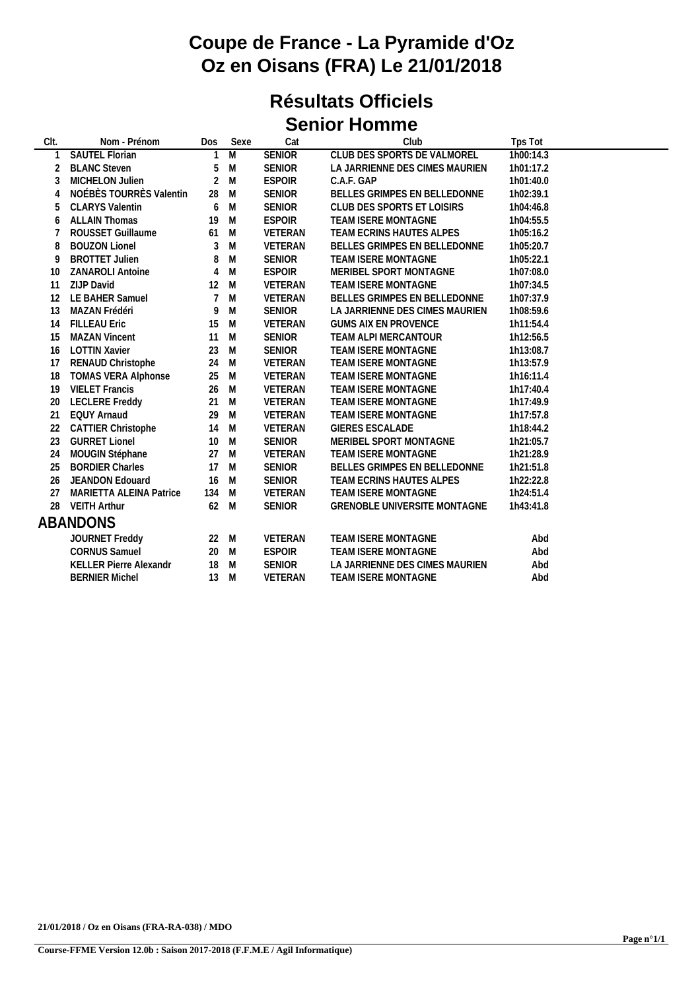## **Coupe de France - La Pyramide d'Oz Oz en Oisans (FRA) Le 21/01/2018**

### **Résultats Officiels Senior Homme**

| Nom - Prénom                     | Dos                  | Sexe           | Cat               | Club                           | Tps Tot   |
|----------------------------------|----------------------|----------------|-------------------|--------------------------------|-----------|
| SAUTEL Florian                   | 1                    | $\overline{M}$ | <b>SENIOR</b>     | CLUB DES SPORTS DE VALMOREL    | 1h00:14.3 |
| <b>BLANC Steven</b>              | 5                    | M              | <b>SENIOR</b>     | LA JARRIENNE DES CIMES MAURIEN | 1h01:17.2 |
| MICHELON Julien                  | $\overline{2}$       | M              | <b>ESPOIR</b>     | C.A.F. GAP                     | 1h01:40.0 |
| NOÉBÈS TOURRÈS Valentin          | 28                   | M              | SENIOR            | BELLES GRIMPES EN BELLEDONNE   | 1h02:39.1 |
| <b>CLARYS Valentin</b>           | 6                    | M              | SENIOR            | CLUB DES SPORTS ET LOISIRS     | 1h04:46.8 |
| <b>ALLAIN Thomas</b>             | 19                   | M              | <b>ESPOIR</b>     | TEAM ISERE MONTAGNE            | 1h04:55.5 |
| ROUSSET Guillaume                | 61                   | M              | VETERAN           | TEAM ECRINS HAUTES ALPES       | 1h05:16.2 |
| <b>BOUZON Lionel</b>             | 3                    | ${\sf M}$      | VETERAN           | BELLES GRIMPES EN BELLEDONNE   | 1h05:20.7 |
| <b>BROTTET Julien</b>            | 8                    | ${\sf M}$      | <b>SENIOR</b>     | TEAM ISERE MONTAGNE            | 1h05:22.1 |
| <b>ZANAROLI Antoine</b>          | 4                    | M              | <b>ESPOIR</b>     | MERIBEL SPORT MONTAGNE         | 1h07:08.0 |
| ZIJP David                       | 12                   | M              | VETERAN           | TEAM ISERE MONTAGNE            | 1h07:34.5 |
| LE BAHER Samuel                  | $\overline{7}$       | M              | VETERAN           | BELLES GRIMPES EN BELLEDONNE   | 1h07:37.9 |
| MAZAN Frédéri                    | 9                    | M              | SENIOR            | LA JARRIENNE DES CIMES MAURIEN | 1h08:59.6 |
| <b>FILLEAU Eric</b>              | 15                   | M              | VETERAN           | <b>GUMS AIX EN PROVENCE</b>    | 1h11:54.4 |
| <b>MAZAN Vincent</b>             | 11                   | M              | SENIOR            | TEAM ALPI MERCANTOUR           | 1h12:56.5 |
| <b>LOTTIN Xavier</b>             | 23                   |                | SENIOR            | TEAM ISERE MONTAGNE            | 1h13:08.7 |
| RENAUD Christophe                | 24                   | M              | VETERAN           | TEAM ISERE MONTAGNE            | 1h13:57.9 |
| <b>TOMAS VERA Alphonse</b>       | 25                   | M              | VETERAN           | TEAM ISERE MONTAGNE            | 1h16:11.4 |
| <b>VIELET Francis</b>            | 26                   |                | VETERAN           | TEAM ISERE MONTAGNE            | 1h17:40.4 |
| <b>LECLERE Freddy</b>            | 21                   | M              | VETERAN           | TEAM ISERE MONTAGNE            | 1h17:49.9 |
| <b>EQUY Arnaud</b>               | 29                   | M              | VETERAN           | TEAM ISERE MONTAGNE            | 1h17:57.8 |
| <b>CATTIER Christophe</b>        | 14                   | M              | VETERAN           | GIERES ESCALADE                | 1h18:44.2 |
|                                  | 10                   |                | <b>SENIOR</b>     | MERIBEL SPORT MONTAGNE         | 1h21:05.7 |
| MOUGIN Stéphane                  | 27                   | M              | VETERAN           | TEAM ISERE MONTAGNE            | 1h21:28.9 |
| <b>BORDIER Charles</b>           | 17                   | M              | <b>SENIOR</b>     | BELLES GRIMPES EN BELLEDONNE   | 1h21:51.8 |
| JEANDON Edouard                  | 16                   | M              | <b>SENIOR</b>     | TEAM ECRINS HAUTES ALPES       | 1h22:22.8 |
| MARIETTA ALEINA Patrice          | 134                  | M              | VETERAN           | TEAM ISERE MONTAGNE            | 1h24:51.4 |
| <b>VEITH Arthur</b>              | 62                   | M              | <b>SENIOR</b>     | GRENOBLE UNIVERSITE MONTAGNE   | 1h43:41.8 |
| ABANDONS                         |                      |                |                   |                                |           |
| JOURNET Freddy                   |                      | M              | <b>VETERAN</b>    | TEAM ISERE MONTAGNE            | Abd       |
| <b>CORNUS Samuel</b>             | 20                   | M              | <b>ESPOIR</b>     | TEAM ISERE MONTAGNE            | Abd       |
| KELLER Pierre Alexandr           | 18                   | M              | SENIOR            | LA JARRIENNE DES CIMES MAURIEN | Abd       |
| <b>BERNIER Michel</b>            | 13                   | M              | VETERAN           | TEAM ISERE MONTAGNE            | Abd       |
| 12<br>16<br>22<br>23<br>26<br>28 | <b>GURRET Lionel</b> |                | M<br>M<br>M<br>22 |                                |           |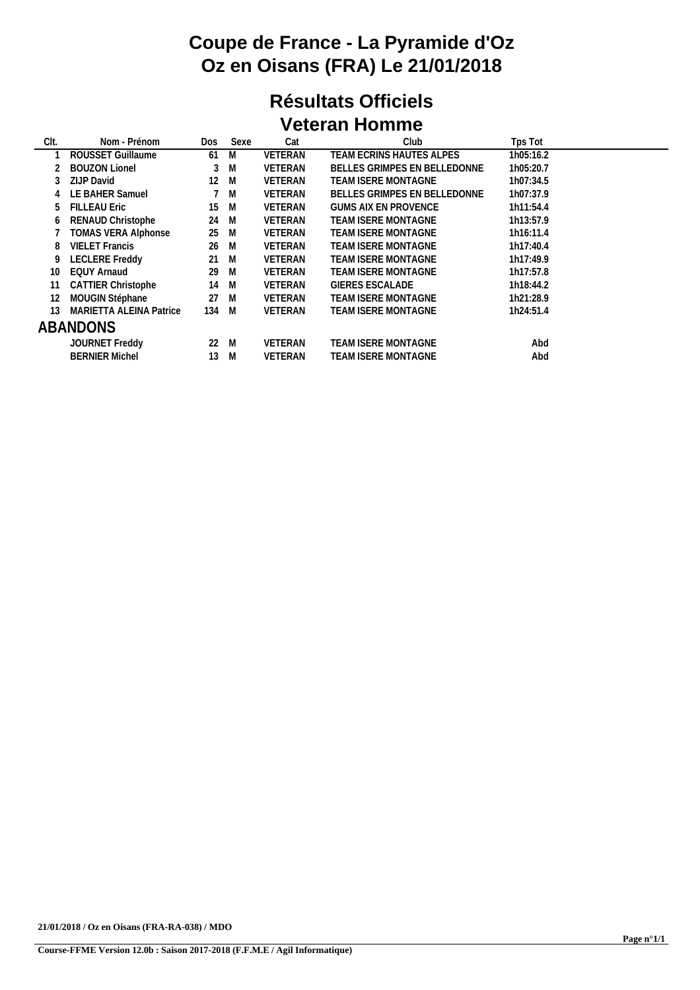# **Coupe de France - La Pyramide d'Oz Oz en Oisans (FRA) Le 21/01/2018**

#### **Résultats Officiels Veteran Homme**

| Nom - Prénom                   | Dos | Sexe | Cat                                    | Club                         | Tps Tot   |
|--------------------------------|-----|------|----------------------------------------|------------------------------|-----------|
| ROUSSET Guillaume              | 61  | M    | <b>VETERAN</b>                         | TEAM ECRINS HAUTES ALPES     | 1h05:16.2 |
| <b>BOUZON Lionel</b>           | 3   | M    | <b>VETERAN</b>                         | BELLES GRIMPES EN BELLEDONNE | 1h05:20.7 |
| ZIJP David                     | 12  | M    | <b>VETERAN</b>                         | <b>TEAM ISERE MONTAGNE</b>   | 1h07:34.5 |
| LE BAHER Samuel                |     |      | <b>VETERAN</b>                         | BELLES GRIMPES EN BELLEDONNE | 1h07:37.9 |
| <b>FILLEAU Eric</b>            | 15  | M    | <b>VETERAN</b>                         | <b>GUMS AIX EN PROVENCE</b>  | 1h11:54.4 |
| RENAUD Christophe              | 24  | M    | <b>VETERAN</b>                         | TEAM ISERE MONTAGNE          | 1h13:57.9 |
| <b>TOMAS VERA Alphonse</b>     |     | M    | <b>VETERAN</b>                         | TEAM ISERE MONTAGNE          | 1h16:11.4 |
| <b>VIELET Francis</b>          | 26  | M    | <b>VETERAN</b>                         | TEAM ISERE MONTAGNE          | 1h17:40.4 |
| <b>LECLERE</b> Freddy          |     | M    | <b>VETERAN</b>                         | <b>TEAM ISERE MONTAGNE</b>   | 1h17:49.9 |
| <b>EQUY Arnaud</b>             | 29  | M    | VETERAN                                | TEAM ISERE MONTAGNE          | 1h17:57.8 |
| <b>CATTIER Christophe</b>      | 14  | M    | <b>VETERAN</b>                         | <b>GIERES ESCALADE</b>       | 1h18:44.2 |
| MOUGIN Stéphane                |     |      | <b>VETERAN</b>                         | TEAM ISERE MONTAGNE          | 1h21:28.9 |
| <b>MARIETTA ALEINA Patrice</b> |     |      | <b>VETERAN</b>                         | <b>TEAM ISERE MONTAGNE</b>   | 1h24:51.4 |
| ABANDONS                       |     |      |                                        |                              |           |
| JOURNET Freddy                 |     | M    | VETERAN                                | <b>TEAM ISERE MONTAGNE</b>   | Abd       |
| <b>BERNIER Michel</b>          | 13  | M    | <b>VETERAN</b>                         | <b>TEAM ISERE MONTAGNE</b>   | Abd       |
|                                | 11  |      | 7 M<br>25<br>21<br>27 M<br>134 M<br>22 |                              |           |